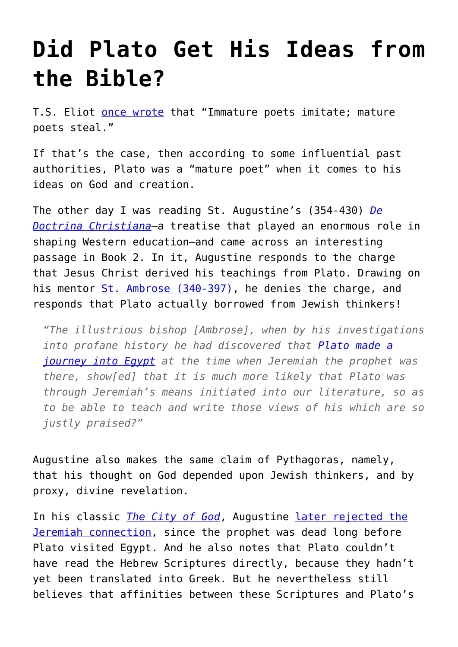## **[Did Plato Get His Ideas from](https://intellectualtakeout.org/2017/01/did-plato-get-his-ideas-from-the-bible/) [the Bible?](https://intellectualtakeout.org/2017/01/did-plato-get-his-ideas-from-the-bible/)**

T.S. Eliot [once wrote](http://www.bartleby.com/200/sw11.html) that "Immature poets imitate; mature poets steal."

If that's the case, then according to some influential past authorities, Plato was a "mature poet" when it comes to his ideas on God and creation.

The other day I was reading St. Augustine's (354-430) *[De](https://www.amazon.com/Christian-Teaching-St-Augustine/dp/0199540632/ref=as_li_ss_tl?s=books&ie=UTF8&qid=1483982515&sr=1-1&keywords=augustine+de+doctrina+christiana&linkCode=sl1&tag=intelltakeo0d-20&linkId=df9e9fddf3d13b0da45f3540d13c1aec) [Doctrina Christiana](https://www.amazon.com/Christian-Teaching-St-Augustine/dp/0199540632/ref=as_li_ss_tl?s=books&ie=UTF8&qid=1483982515&sr=1-1&keywords=augustine+de+doctrina+christiana&linkCode=sl1&tag=intelltakeo0d-20&linkId=df9e9fddf3d13b0da45f3540d13c1aec)*—a treatise that played an enormous role in shaping Western education—and came across an interesting passage in Book 2. In it, Augustine responds to the charge that Jesus Christ derived his teachings from Plato. Drawing on his mentor [St. Ambrose \(340-397\),](https://books.google.com/books/about/Homilies_of_Saint_Ambrose_on_Psalm_118_1.html?id=XHATAAAACAAJ) he denies the charge, and responds that Plato actually borrowed from Jewish thinkers!

*"The illustrious bishop [Ambrose], when by his investigations into profane history he had discovered that [Plato made a](http://www.ancient.eu/plato/) [journey into Egypt](http://www.ancient.eu/plato/) at the time when Jeremiah the prophet was there, show[ed] that it is much more likely that Plato was through Jeremiah's means initiated into our literature, so as to be able to teach and write those views of his which are so justly praised?"*

Augustine also makes the same claim of Pythagoras, namely, that his thought on God depended upon Jewish thinkers, and by proxy, divine revelation.

In his classic *[The City of God](https://www.amazon.com/City-Penguin-Classics-Augustine-Hippo/dp/0140448942/ref=as_li_ss_tl?s=books&ie=UTF8&qid=1483982339&sr=1-1&keywords=augustine+city+of+god&linkCode=sl1&tag=intelltakeo0d-20&linkId=4a13a50bb63fd942c83895dddd30353f)*, Augustine [later rejected the](http://www.newadvent.org/fathers/120108.htm) [Jeremiah connection,](http://www.newadvent.org/fathers/120108.htm) since the prophet was dead long before Plato visited Egypt. And he also notes that Plato couldn't have read the Hebrew Scriptures directly, because they hadn't yet been translated into Greek. But he nevertheless still believes that affinities between these Scriptures and Plato's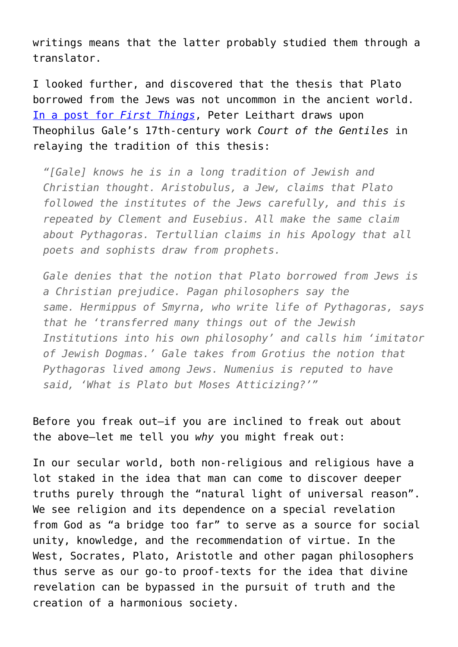writings means that the latter probably studied them through a translator.

I looked further, and discovered that the thesis that Plato borrowed from the Jews was not uncommon in the ancient world. [In a post for](https://www.firstthings.com/blogs/leithart/2014/08/plato-and-moses) *[First Things](https://www.firstthings.com/blogs/leithart/2014/08/plato-and-moses)*, Peter Leithart draws upon Theophilus Gale's 17th-century work *Court of the Gentiles* in relaying the tradition of this thesis:

*"[Gale] knows he is in a long tradition of Jewish and Christian thought. Aristobulus, a Jew, claims that Plato followed the institutes of the Jews carefully, and this is repeated by Clement and Eusebius. All make the same claim about Pythagoras. Tertullian claims in his Apology that all poets and sophists draw from prophets.*

*Gale denies that the notion that Plato borrowed from Jews is a Christian prejudice. Pagan philosophers say the same. Hermippus of Smyrna, who write life of Pythagoras, says that he 'transferred many things out of the Jewish Institutions into his own philosophy' and calls him 'imitator of Jewish Dogmas.' Gale takes from Grotius the notion that Pythagoras lived among Jews. Numenius is reputed to have said, 'What is Plato but Moses Atticizing?'"* 

Before you freak out—if you are inclined to freak out about the above—let me tell you *why* you might freak out:

In our secular world, both non-religious and religious have a lot staked in the idea that man can come to discover deeper truths purely through the "natural light of universal reason". We see religion and its dependence on a special revelation from God as "a bridge too far" to serve as a source for social unity, knowledge, and the recommendation of virtue. In the West, Socrates, Plato, Aristotle and other pagan philosophers thus serve as our go-to proof-texts for the idea that divine revelation can be bypassed in the pursuit of truth and the creation of a harmonious society.